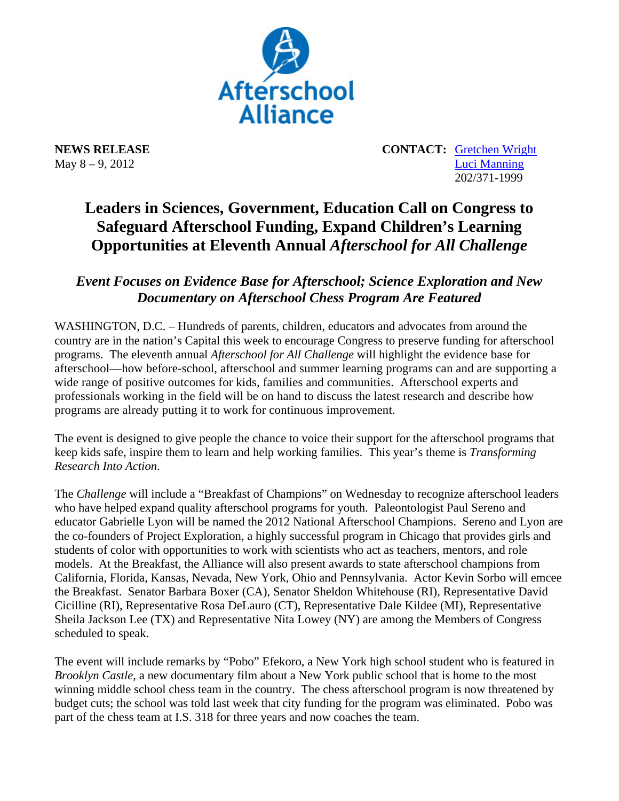

**NEWS RELEASE CONTACT:** Gretchen Wright May 8 – 9, 2012 Luci Manning 202/371-1999

## **Leaders in Sciences, Government, Education Call on Congress to Safeguard Afterschool Funding, Expand Children's Learning Opportunities at Eleventh Annual** *Afterschool for All Challenge*

*Event Focuses on Evidence Base for Afterschool; Science Exploration and New Documentary on Afterschool Chess Program Are Featured*

WASHINGTON, D.C. – Hundreds of parents, children, educators and advocates from around the country are in the nation's Capital this week to encourage Congress to preserve funding for afterschool programs. The eleventh annual *Afterschool for All Challenge* will highlight the evidence base for afterschool—how before-school, afterschool and summer learning programs can and are supporting a wide range of positive outcomes for kids, families and communities. Afterschool experts and professionals working in the field will be on hand to discuss the latest research and describe how programs are already putting it to work for continuous improvement.

The event is designed to give people the chance to voice their support for the afterschool programs that keep kids safe, inspire them to learn and help working families. This year's theme is *Transforming Research Into Action*.

The *Challenge* will include a "Breakfast of Champions" on Wednesday to recognize afterschool leaders who have helped expand quality afterschool programs for youth. Paleontologist Paul Sereno and educator Gabrielle Lyon will be named the 2012 National Afterschool Champions. Sereno and Lyon are the co-founders of Project Exploration, a highly successful program in Chicago that provides girls and students of color with opportunities to work with scientists who act as teachers, mentors, and role models. At the Breakfast, the Alliance will also present awards to state afterschool champions from California, Florida, Kansas, Nevada, New York, Ohio and Pennsylvania. Actor Kevin Sorbo will emcee the Breakfast. Senator Barbara Boxer (CA), Senator Sheldon Whitehouse (RI), Representative David Cicilline (RI), Representative Rosa DeLauro (CT), Representative Dale Kildee (MI), Representative Sheila Jackson Lee (TX) and Representative Nita Lowey (NY) are among the Members of Congress scheduled to speak.

The event will include remarks by "Pobo" Efekoro, a New York high school student who is featured in *Brooklyn Castle*, a new documentary film about a New York public school that is home to the most winning middle school chess team in the country. The chess afterschool program is now threatened by budget cuts; the school was told last week that city funding for the program was eliminated. Pobo was part of the chess team at I.S. 318 for three years and now coaches the team.